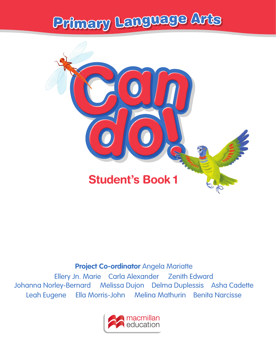# <sup>P</sup>rimar<sup>y</sup> <sup>L</sup>anguag<sup>e</sup> <sup>A</sup>rt<sup>s</sup>



#### **Project Co-ordinator** Angela Mariatte

Ellery Jn. Marie Carla Alexander Zenith Edward Johanna Norley-Bernard Melissa Dujon Delma Duplessis Asha Cadette Leah Eugene Ella Morris-John Melina Mathurin Benita Narcisse

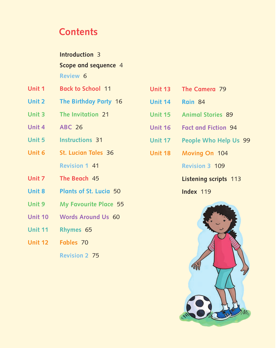### **Contents**

<span id="page-1-0"></span>

|        | <b>Introduction 3</b><br>Scope and sequence 4 |  |  |  |  |
|--------|-----------------------------------------------|--|--|--|--|
|        |                                               |  |  |  |  |
|        | Review 6                                      |  |  |  |  |
| Unit 1 | <b>Back to School</b> 11                      |  |  |  |  |
| Unit 2 | The Birthday Party 16                         |  |  |  |  |
| Unit 3 | The Invitation 21                             |  |  |  |  |
|        |                                               |  |  |  |  |

- **Unit 4 ABC** 26
- **Unit 5 Instructions** 31
- **Unit 6 St. Lucian Tales** 36  **Revision 1** 41
- **Unit 7 The Beach** 45
- **Unit 8 Plants of St. Lucia** 50
- **Unit 9 My Favourite Place** 55
- **Unit 10 Words Around Us** 60
- **Unit 11 Rhymes** 65
- **Unit 12 Fables** 70

 **Revision 2** 75

- **Unit 13 The Camera** 79
- **Unit 14 Rain** 84
- **Unit 15 Animal Stories** 89
- **Unit 16 Fact and Fiction** 94
- **Unit 17 People Who Help Us** 99
- **Unit 18 Moving On** 104

 **Revision 3** 109

 **Listening scripts** 113

**Index 119** 

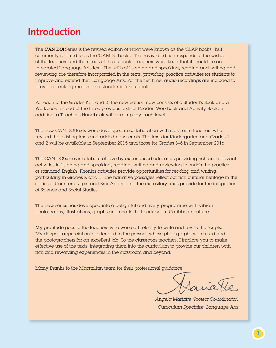### <span id="page-2-0"></span>**[Introduction](#page-1-0)**

The CAN DO! Series is the revised edition of what were known as the 'CLAP books', but commonly referred to as the 'CAMDU books'. This revised edition responds to the wishes of the teachers and the needs of the students. Teachers were keen that it should be an integrated Language Arts text. The skills of listening and speaking, reading and writing and reviewing are therefore incorporated in the texts, providing practice activities for students to improve and extend their Language Arts. For the first time, audio recordings are included to provide speaking models and standards for students.

For each of the Grades K, 1 and 2, the new edition now consists of a Student's Book and  $\alpha$ Workbook instead of the three previous texts of Reader, Workbook and Activity Book. In addition, a Teacher's Handbook will accompany each level.

The new CAN DO! texts were developed in collaboration with classroom teachers who revised the existing texts and added new scripts. The texts for Kindergarten and Grades 1 and 2 will be available in September 2015 and those for Grades 3–6 in September 2016.

The CAN DO! series is a labour of love by experienced educators providing rich and relevant activities in listening and speaking, reading, writing and reviewing to enrich the practice of standard English. Phonics activities provide opportunities for reading and writing, particularly in Grades K and 1. The narrative passages reflect our rich cultural heritage in the stories of Compere Lapin and Brer Anansi and the expository texts provide for the integration of Science and Social Studies.

The new series has developed into a delightful and lively programme with vibrant photographs, illustrations, graphs and charts that portray our Caribbean culture.

My gratitude goes to the teachers who worked tirelessly to write and revise the scripts. My deepest appreciation is extended to the persons whose photographs were used and the photographers for an excellent job. To the classroom teachers, I implore you to make effective use of the texts, integrating them into the curriculum to provide our children with rich and rewarding experiences in the classroom and beyond.

Many thanks to the Macmillan team for their professional guidance.

*Angela Mariatte (Project Co-ordinator) Curriculum Specialist, Language Arts*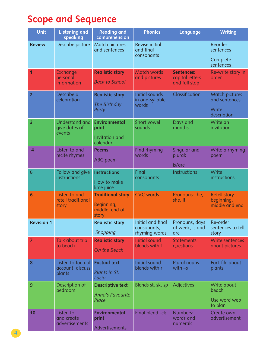## <span id="page-3-0"></span>**Scope and [Sequence](#page-1-0)**

| <b>Unit</b>       | <b>Listening and</b><br>speaking                 | <b>Reading and</b><br>comprehension                               | <b>Phonics</b>                                    | Language                                              | <b>Writing</b>                                          |
|-------------------|--------------------------------------------------|-------------------------------------------------------------------|---------------------------------------------------|-------------------------------------------------------|---------------------------------------------------------|
| <b>Review</b>     | Describe picture                                 | Match pictures<br>and sentences                                   | Revise initial<br>and final<br>consonants         |                                                       | Reorder<br>sentences<br>Complete<br>sentences           |
| 1                 | Exchange<br>personal<br>information              | <b>Realistic story</b><br><b>Back to School</b>                   | Match words<br>and pictures                       | <b>Sentences:</b><br>capital letters<br>and full stop | Re-write story in<br>order                              |
| $\overline{2}$    | Describe a<br>celebration                        | <b>Realistic story</b><br>The Birthday<br>Party                   | <b>Initial sounds</b><br>in one-syllable<br>words | Classification                                        | Match pictures<br>and sentences<br>Write<br>description |
| 3                 | <b>Understand and</b><br>give dates of<br>events | <b>Environmental</b><br>print<br>Invitation and<br>calendar       | Short vowel<br>sounds                             | Days and<br>months                                    | Write an<br>invitation                                  |
| $\overline{4}$    | Listen to and<br>recite rhymes                   | <b>Poems</b><br>ABC poem                                          | Find rhyming<br>words                             | Singular and<br>plural:<br>is/are                     | Write a rhyming<br>poem                                 |
| 5                 | Follow and give<br>instructions                  | <b>Instructions</b><br>How to make<br>lime juice                  | Final<br>consonants                               | Instructions                                          | Write<br>instructions                                   |
| $6\overline{6}$   | Listen to and<br>retell traditional<br>story     | <b>Traditional story</b><br>Beginning,<br>middle, end of<br>story | <b>CVC</b> words                                  | Pronouns: he,<br>she, it                              | Retell story:<br>beginning,<br>middle and end           |
| <b>Revision 1</b> |                                                  | <b>Realistic story</b><br>Shopping                                | Initial and final<br>consonants,<br>rhyming words | Pronouns, days<br>are                                 | Re-order<br>of week, is and sentences to tell<br>story  |
| $\overline{7}$    | Talk about trip<br>to beach                      | <b>Realistic story</b><br>On the Beach                            | <b>Initial sound</b><br>blends with I             | <b>Statements</b><br>questions                        | Write sentences<br>about pictures                       |
| $\boldsymbol{8}$  | Listen to factual<br>account, discuss<br>plants  | <b>Factual text</b><br>Plants in St.<br>Lucia                     | Initial sound<br>blends with r                    | <b>Plural nouns</b><br>with $-s$                      | Fact file about<br>plants                               |
| 9                 | Description of<br>bedroom                        | <b>Descriptive text</b><br>Anna's Favourite<br>Place              | Blends st, sk, sp                                 | Adjectives                                            | Write about<br>beach<br>Use word web<br>to plan         |
| 10                | Listen to<br>and create<br><b>advertisements</b> | <b>Environmental</b><br>print<br>Advertisements                   | Final blend -ck                                   | Numbers:<br>words and<br>numerals                     | Create own<br>advertisement                             |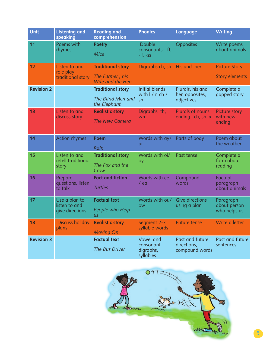| Unit              | <b>Listening and</b><br>speaking                  | <b>Reading and</b><br>comprehension                             | <b>Phonics</b>                                          | <b>Language</b>                                   | <b>Writing</b>                                |
|-------------------|---------------------------------------------------|-----------------------------------------------------------------|---------------------------------------------------------|---------------------------------------------------|-----------------------------------------------|
| 11                | Poems with<br>rhymes                              | <b>Poetry</b><br>Mice                                           | <b>Double</b><br>consonants: -ff,<br>$-II, -SS$         | Opposites                                         | Write poems<br>about animals                  |
| 12                | Listen to and<br>role play<br>traditional story   | <b>Traditional story</b><br>The Farmer, his<br>Wife and the Hen | Digraphs ch, sh                                         | His and her                                       | <b>Picture Story</b><br><b>Story elements</b> |
| <b>Revision 2</b> |                                                   | <b>Traditional story</b><br>The Blind Men and<br>the Elephant   | <b>Initial blends</b><br>with I / r, ch /<br>sh         | Plurals, his and<br>her, opposites,<br>adjectives | Complete a<br>gapped story                    |
| 13                | Listen to and<br>discuss story                    | <b>Realistic story</b><br>The New Camera                        | Digraphs th,<br>wh                                      | <b>Plurals of nouns</b><br>ending -ch, sh, x      | Picture story<br>with new<br>ending           |
| 14                | <b>Action rhymes</b>                              | <b>Poem</b><br>Rain                                             | Words with ay/<br>ai                                    | Parts of body                                     | Poem about<br>the weather                     |
| 15                | Listen to and<br>retell traditional<br>story      | <b>Traditional story</b><br>The Fox and the<br>Crow             | Words with oi/<br>oy                                    | Past tense                                        | Complete a<br>form about<br>reading           |
| 16                | Prepare<br>questions, listen<br>to talk           | <b>Fact and fiction</b><br><b>Turtles</b>                       | Words with ee<br>/ ea                                   | Compound<br>words                                 | Factual<br>paragraph<br>about animals         |
| 17                | Use a plan to<br>listen to and<br>give directions | <b>Factual text</b><br>People who Help<br>$\overline{u}$        | Words with ou/<br><b>OW</b>                             | <b>Give directions</b><br>using a plan            | Paragraph<br>about person<br>who helps us     |
| 18                | <b>Discuss holiday</b><br>plans                   | <b>Realistic story</b><br><b>Moving On</b>                      | Segment 2-3<br>syllable words                           | <b>Future tense</b>                               | Write a letter                                |
| <b>Revision 3</b> |                                                   | <b>Factual text</b><br><b>The Bus Driver</b>                    | <b>Vowel and</b><br>consonant<br>digraphs,<br>syllables | Past and future,<br>directions,<br>compound words | Past and future<br>sentences                  |